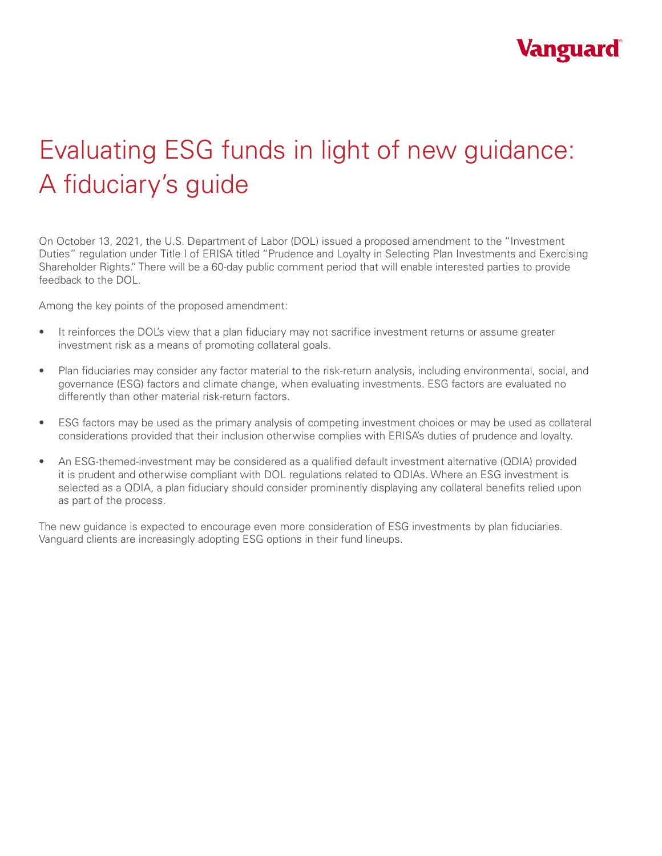

# Evaluating ESG funds in light of new guidance: A fiduciary's guide

On October 13, 2021, the U.S. Department of Labor (DOL) issued a proposed amendment to the "Investment Duties" regulation under Title I of ERISA titled "Prudence and Loyalty in Selecting Plan Investments and Exercising Shareholder Rights." There will be a 60-day public comment period that will enable interested parties to provide feedback to the DOL.

Among the key points of the proposed amendment:

- It reinforces the DOL's view that a plan fiduciary may not sacrifice investment returns or assume greater investment risk as a means of promoting collateral goals.
- Plan fiduciaries may consider any factor material to the risk-return analysis, including environmental, social, and governance (ESG) factors and climate change, when evaluating investments. ESG factors are evaluated no differently than other material risk-return factors.
- ESG factors may be used as the primary analysis of competing investment choices or may be used as collateral considerations provided that their inclusion otherwise complies with ERISA's duties of prudence and loyalty.
- An ESG-themed-investment may be considered as a qualified default investment alternative (QDIA) provided it is prudent and otherwise compliant with DOL regulations related to QDIAs. Where an ESG investment is selected as a QDIA, a plan fiduciary should consider prominently displaying any collateral benefits relied upon as part of the process.

The new guidance is expected to encourage even more consideration of ESG investments by plan fiduciaries. Vanguard clients are increasingly adopting ESG options in their fund lineups.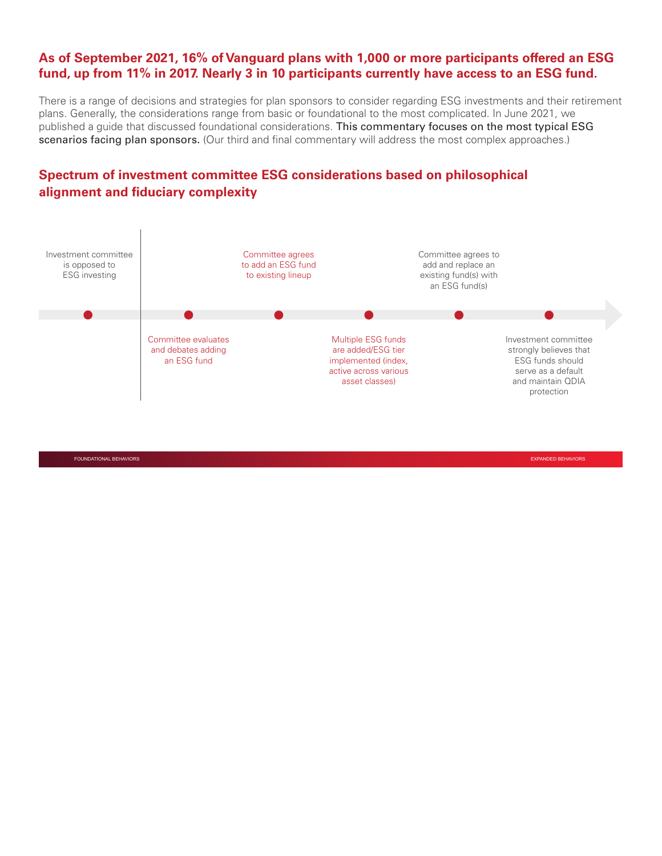# **As of September 2021, 16% of Vanguard plans with 1,000 or more participants offered an ESG fund, up from 11% in 2017. Nearly 3 in 10 participants currently have access to an ESG fund.**

There is a range of decisions and strategies for plan sponsors to consider regarding ESG investments and their retirement plans. Generally, the considerations range from basic or foundational to the most complicated. In June 2021, we published a guide that discussed foundational considerations. This commentary focuses on the most typical ESG scenarios facing plan sponsors. (Our third and final commentary will address the most complex approaches.)

# **Spectrum of investment committee ESG considerations based on philosophical alignment and fiduciary complexity**



FOUNDATIONAL BEHAVIORS EXPANDED BEHAVIORS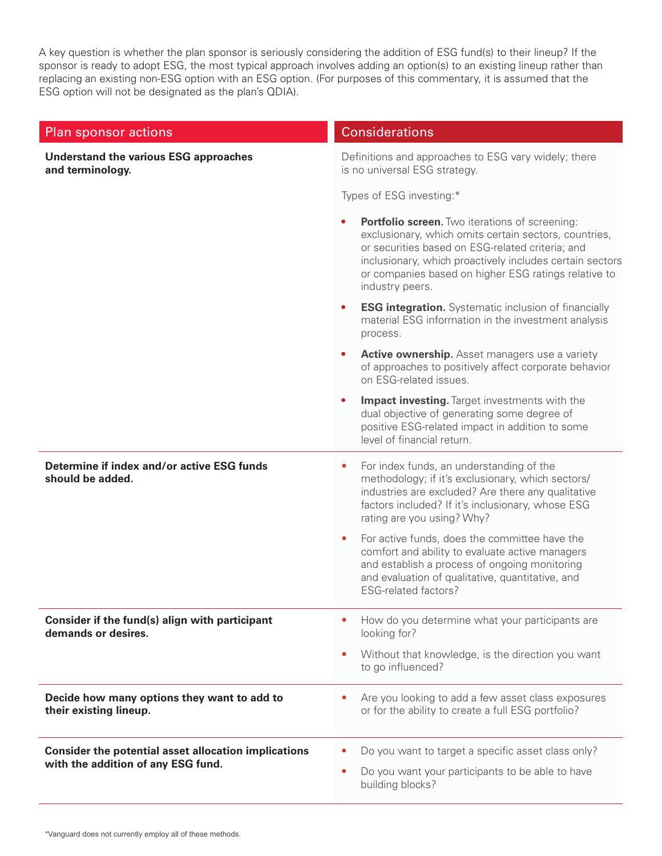A key question is whether the plan sponsor is seriously considering the addition of ESG fund(s) to their lineup? If the sponsor is ready to adopt ESG, the most typical approach involves adding an option(s) to an existing lineup rather than replacing an existing non-ESG option with an ESG option. (For purposes of this commentary, it is assumed that the ESG option will not be designated as the plan's QDIA).

### Plan sponsor actions Considerations Considerations

### **Understand the various ESG approaches and terminology.**

Definitions and approaches to ESG vary widely; there is no universal ESG strategy.

Types of ESG investing:\*

|                                                                                                   | <b>Portfolio screen.</b> Two iterations of screening:<br>exclusionary, which omits certain sectors, countries,<br>or securities based on ESG-related criteria; and<br>inclusionary, which proactively includes certain sectors<br>or companies based on higher ESG ratings relative to<br>industry peers. |
|---------------------------------------------------------------------------------------------------|-----------------------------------------------------------------------------------------------------------------------------------------------------------------------------------------------------------------------------------------------------------------------------------------------------------|
|                                                                                                   | <b>ESG integration.</b> Systematic inclusion of financially<br>$\bullet$<br>material ESG information in the investment analysis<br>process.                                                                                                                                                               |
|                                                                                                   | <b>Active ownership.</b> Asset managers use a variety<br>of approaches to positively affect corporate behavior<br>on ESG-related issues.                                                                                                                                                                  |
|                                                                                                   | <b>Impact investing.</b> Target investments with the<br>dual objective of generating some degree of<br>positive ESG-related impact in addition to some<br>level of financial return.                                                                                                                      |
| Determine if index and/or active ESG funds<br>should be added.                                    | For index funds, an understanding of the<br>$\bullet$<br>methodology; if it's exclusionary, which sectors/<br>industries are excluded? Are there any qualitative<br>factors included? If it's inclusionary, whose ESG<br>rating are you using? Why?                                                       |
|                                                                                                   | For active funds, does the committee have the<br>comfort and ability to evaluate active managers<br>and establish a process of ongoing monitoring<br>and evaluation of qualitative, quantitative, and<br><b>ESG-related factors?</b>                                                                      |
| Consider if the fund(s) align with participant<br>demands or desires.                             | How do you determine what your participants are<br>$\bullet$<br>looking for?                                                                                                                                                                                                                              |
|                                                                                                   | Without that knowledge, is the direction you want<br>$\bullet$<br>to go influenced?                                                                                                                                                                                                                       |
| Decide how many options they want to add to<br>their existing lineup.                             | Are you looking to add a few asset class exposures<br>or for the ability to create a full ESG portfolio?                                                                                                                                                                                                  |
| <b>Consider the potential asset allocation implications</b><br>with the addition of any ESG fund. | Do you want to target a specific asset class only?<br>Do you want your participants to be able to have<br>$\bullet$<br>building blocks?                                                                                                                                                                   |